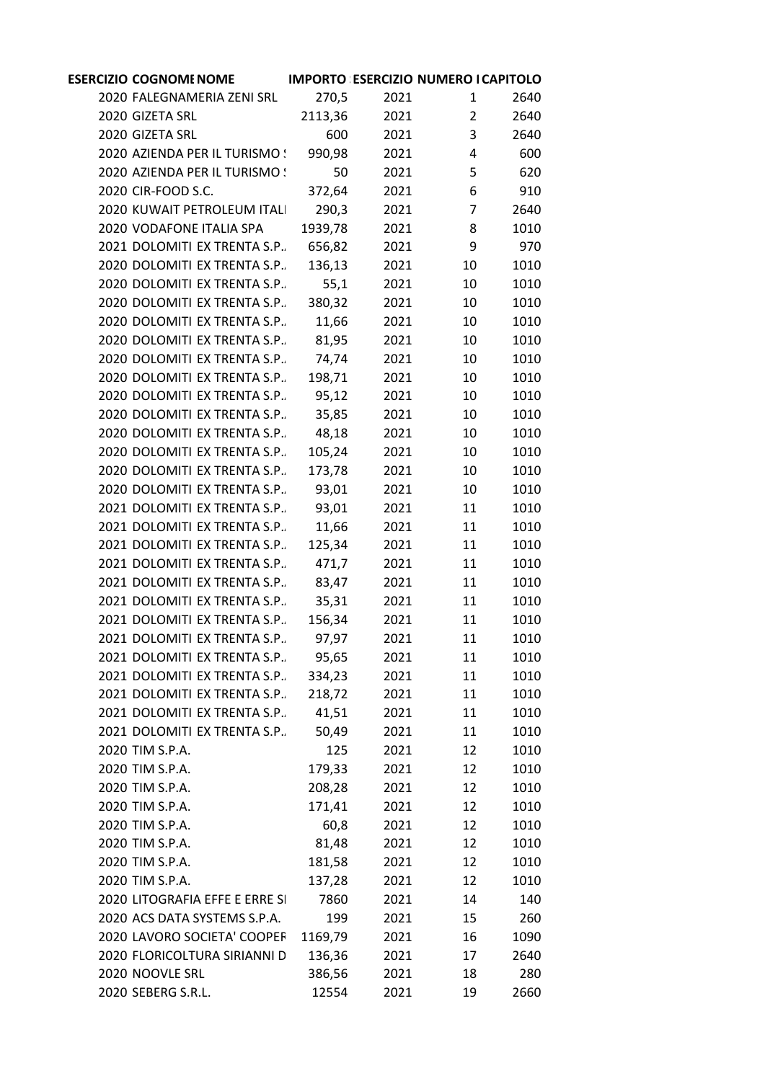| <b>ESERCIZIO COGNOME NOME</b>  |         |      | IMPORTO ESERCIZIO NUMERO I CAPITOLO |      |  |
|--------------------------------|---------|------|-------------------------------------|------|--|
| 2020 FALEGNAMERIA ZENI SRL     | 270,5   | 2021 | $\mathbf{1}$                        | 2640 |  |
| 2020 GIZETA SRL                | 2113,36 | 2021 | $2^{\circ}$                         | 2640 |  |
| 2020 GIZETA SRL                |         | 600  | $\mathbf{3}$<br>2021 2022           | 2640 |  |
| 2020 AZIENDA PER IL TURISMO !  | 990,98  | 2021 | $\overline{4}$                      | 600  |  |
| 2020 AZIENDA PER IL TURISMO !  | 50      | 2021 | 5 <sup>1</sup>                      | 620  |  |
| 2020 CIR-FOOD S.C.             | 372,64  | 2021 | 6                                   | 910  |  |
| 2020 KUWAIT PETROLEUM ITALI    | 290,3   | 2021 | $7\overline{ }$                     | 2640 |  |
| 2020 VODAFONE ITALIA SPA       | 1939,78 | 2021 | 8                                   | 1010 |  |
| 2021 DOLOMITI EX TRENTA S.P.   | 656,82  | 2021 | 9                                   | 970  |  |
| 2020 DOLOMITI EX TRENTA S.P.   | 136,13  |      | 2021<br>10                          | 1010 |  |
| 2020 DOLOMITI EX TRENTA S.P.,  | 55,1    | 2021 | 10                                  | 1010 |  |
| 2020 DOLOMITI EX TRENTA S.P.,  | 380,32  | 2021 | 10                                  | 1010 |  |
| 2020 DOLOMITI EX TRENTA S.P.,  | 11,66   | 2021 | 10                                  | 1010 |  |
| 2020 DOLOMITI EX TRENTA S.P.   | 81,95   | 2021 | 10                                  | 1010 |  |
| 2020 DOLOMITI EX TRENTA S.P.,  | 74,74   |      | 2021<br>10                          | 1010 |  |
| 2020 DOLOMITI EX TRENTA S.P.   | 198,71  | 2021 | 10                                  | 1010 |  |
| 2020 DOLOMITI EX TRENTA S.P.,  | 95,12   | 2021 | 10                                  | 1010 |  |
| 2020 DOLOMITI EX TRENTA S.P.,  | 35,85   | 2021 | 10                                  | 1010 |  |
| 2020 DOLOMITI EX TRENTA S.P.,  | 48,18   |      | 2021<br>10                          | 1010 |  |
| 2020 DOLOMITI EX TRENTA S.P.   | 105,24  |      | 2021<br>10                          | 1010 |  |
| 2020 DOLOMITI EX TRENTA S.P    | 173,78  | 2021 | 10                                  | 1010 |  |
| 2020 DOLOMITI EX TRENTA S.P.,  | 93,01   | 2021 | 10                                  | 1010 |  |
| 2021 DOLOMITI EX TRENTA S.P.,  | 93,01   | 2021 | 11                                  | 1010 |  |
| 2021 DOLOMITI EX TRENTA S.P.,  | 11,66   |      | 2021<br>11                          | 1010 |  |
| 2021 DOLOMITI EX TRENTA S.P.,  | 125,34  | 2021 | 11                                  | 1010 |  |
| 2021 DOLOMITI EX TRENTA S.P.,  | 471,7   | 2021 | 11                                  | 1010 |  |
| 2021 DOLOMITI EX TRENTA S.P.,  | 83,47   |      | 11<br>2021                          | 1010 |  |
| 2021 DOLOMITI EX TRENTA S.P.,  | 35,31   | 2021 | 11                                  | 1010 |  |
| 2021 DOLOMITI EX TRENTA S.P.,  | 156,34  |      | 2021<br>11                          | 1010 |  |
| 2021 DOLOMITI EX TRENTA S.P.,  | 97,97   | 2021 | 11                                  | 1010 |  |
| 2021 DOLOMITI EX TRENTA S.P.,  | 95,65   | 2021 | 11                                  | 1010 |  |
| 2021 DOLOMITI EX TRENTA S.P.,  | 334,23  | 2021 | 11                                  | 1010 |  |
| 2021 DOLOMITI EX TRENTA S.P.,  | 218,72  | 2021 | 11                                  | 1010 |  |
| 2021 DOLOMITI EX TRENTA S.P.,  | 41,51   | 2021 | 11                                  | 1010 |  |
| 2021 DOLOMITI EX TRENTA S.P.,  | 50,49   | 2021 | 11                                  | 1010 |  |
| 2020 TIM S.P.A.                | 125     | 2021 | 12                                  | 1010 |  |
| 2020 TIM S.P.A.                | 179,33  | 2021 | 12                                  | 1010 |  |
| 2020 TIM S.P.A.                | 208,28  | 2021 | 12                                  | 1010 |  |
| 2020 TIM S.P.A.                | 171,41  | 2021 | 12                                  | 1010 |  |
| 2020 TIM S.P.A.                | 60,8    | 2021 | 12                                  | 1010 |  |
| 2020 TIM S.P.A.                | 81,48   | 2021 | 12                                  | 1010 |  |
| 2020 TIM S.P.A.                | 181,58  | 2021 | 12                                  | 1010 |  |
| 2020 TIM S.P.A.                | 137,28  | 2021 | 12                                  | 1010 |  |
| 2020 LITOGRAFIA EFFE E ERRE SI | 7860    | 2021 | 14                                  | 140  |  |
| 2020 ACS DATA SYSTEMS S.P.A.   | 199     | 2021 | 15                                  | 260  |  |
| 2020 LAVORO SOCIETA' COOPER    | 1169,79 | 2021 | 16                                  | 1090 |  |
| 2020 FLORICOLTURA SIRIANNI D   | 136,36  | 2021 | 17                                  | 2640 |  |
| 2020 NOOVLE SRL                | 386,56  | 2021 | 18                                  | 280  |  |
| 2020 SEBERG S.R.L.             | 12554   | 2021 | 19                                  | 2660 |  |
|                                |         |      |                                     |      |  |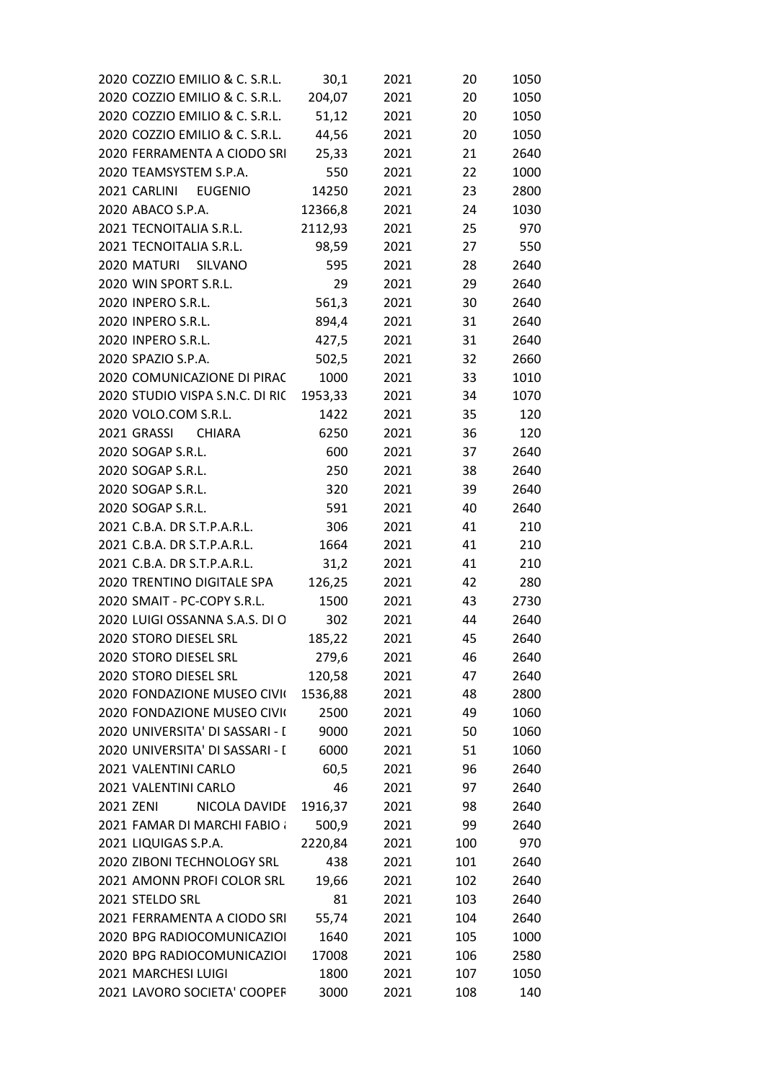| 2020 COZZIO EMILIO & C. S.R.L.  | 30,1    | 2021 | 20  | 1050 |
|---------------------------------|---------|------|-----|------|
| 2020 COZZIO EMILIO & C. S.R.L.  | 204,07  | 2021 | 20  | 1050 |
| 2020 COZZIO EMILIO & C. S.R.L.  | 51,12   | 2021 | 20  | 1050 |
| 2020 COZZIO EMILIO & C. S.R.L.  | 44,56   | 2021 | 20  | 1050 |
| 2020 FERRAMENTA A CIODO SRI     | 25,33   | 2021 | 21  | 2640 |
| 2020 TEAMSYSTEM S.P.A.          | 550     | 2021 | 22  | 1000 |
| 2021 CARLINI<br><b>EUGENIO</b>  | 14250   | 2021 | 23  | 2800 |
| 2020 ABACO S.P.A.               | 12366,8 | 2021 | 24  | 1030 |
| 2021 TECNOITALIA S.R.L.         | 2112,93 | 2021 | 25  | 970  |
| 2021 TECNOITALIA S.R.L.         | 98,59   | 2021 | 27  | 550  |
| 2020 MATURI SILVANO             | 595     | 2021 | 28  | 2640 |
| 2020 WIN SPORT S.R.L.           | 29      | 2021 | 29  | 2640 |
| 2020 INPERO S.R.L.              | 561,3   | 2021 | 30  | 2640 |
| 2020 INPERO S.R.L.              | 894,4   | 2021 | 31  | 2640 |
| 2020 INPERO S.R.L.              | 427,5   | 2021 | 31  | 2640 |
| 2020 SPAZIO S.P.A.              | 502,5   | 2021 | 32  | 2660 |
| 2020 COMUNICAZIONE DI PIRAC     | 1000    | 2021 | 33  | 1010 |
| 2020 STUDIO VISPA S.N.C. DI RIC | 1953,33 | 2021 | 34  | 1070 |
| 2020 VOLO.COM S.R.L.            | 1422    | 2021 | 35  | 120  |
| 2021 GRASSI<br>CHIARA           | 6250    | 2021 | 36  | 120  |
| 2020 SOGAP S.R.L.               | 600     | 2021 | 37  | 2640 |
| 2020 SOGAP S.R.L.               | 250     | 2021 | 38  | 2640 |
| 2020 SOGAP S.R.L.               | 320     | 2021 | 39  | 2640 |
| 2020 SOGAP S.R.L.               | 591     | 2021 | 40  | 2640 |
| 2021 C.B.A. DR S.T.P.A.R.L.     | 306     | 2021 | 41  | 210  |
| 2021 C.B.A. DR S.T.P.A.R.L.     | 1664    | 2021 | 41  | 210  |
| 2021 C.B.A. DR S.T.P.A.R.L.     | 31,2    | 2021 | 41  | 210  |
| 2020 TRENTINO DIGITALE SPA      | 126,25  | 2021 | 42  | 280  |
| 2020 SMAIT - PC-COPY S.R.L.     | 1500    | 2021 | 43  | 2730 |
| 2020 LUIGI OSSANNA S.A.S. DI O  | 302     | 2021 | 44  | 2640 |
| 2020 STORO DIESEL SRL           | 185,22  | 2021 | 45  | 2640 |
| 2020 STORO DIESEL SRL           | 279,6   | 2021 | 46  | 2640 |
| 2020 STORO DIESEL SRL           | 120,58  | 2021 | 47  | 2640 |
| 2020 FONDAZIONE MUSEO CIVII     | 1536,88 | 2021 | 48  | 2800 |
| 2020 FONDAZIONE MUSEO CIVII     | 2500    | 2021 | 49  | 1060 |
| 2020 UNIVERSITA' DI SASSARI - [ | 9000    | 2021 | 50  | 1060 |
| 2020 UNIVERSITA' DI SASSARI - [ | 6000    | 2021 | 51  | 1060 |
| 2021 VALENTINI CARLO            |         |      |     |      |
|                                 | 60,5    | 2021 | 96  | 2640 |
| 2021 VALENTINI CARLO            | 46      | 2021 | 97  | 2640 |
| 2021 ZENI<br>NICOLA DAVIDE      | 1916,37 | 2021 | 98  | 2640 |
| 2021 FAMAR DI MARCHI FABIO I    | 500,9   | 2021 | 99  | 2640 |
| 2021 LIQUIGAS S.P.A.            | 2220,84 | 2021 | 100 | 970  |
| 2020 ZIBONI TECHNOLOGY SRL      | 438     | 2021 | 101 | 2640 |
| 2021 AMONN PROFI COLOR SRL      | 19,66   | 2021 | 102 | 2640 |
| 2021 STELDO SRL                 | 81      | 2021 | 103 | 2640 |
| 2021 FERRAMENTA A CIODO SRI     | 55,74   | 2021 | 104 | 2640 |
| 2020 BPG RADIOCOMUNICAZIOI      | 1640    | 2021 | 105 | 1000 |
| 2020 BPG RADIOCOMUNICAZIOI      | 17008   | 2021 | 106 | 2580 |
| 2021 MARCHESI LUIGI             | 1800    | 2021 | 107 | 1050 |
| 2021 LAVORO SOCIETA' COOPER     | 3000    | 2021 | 108 | 140  |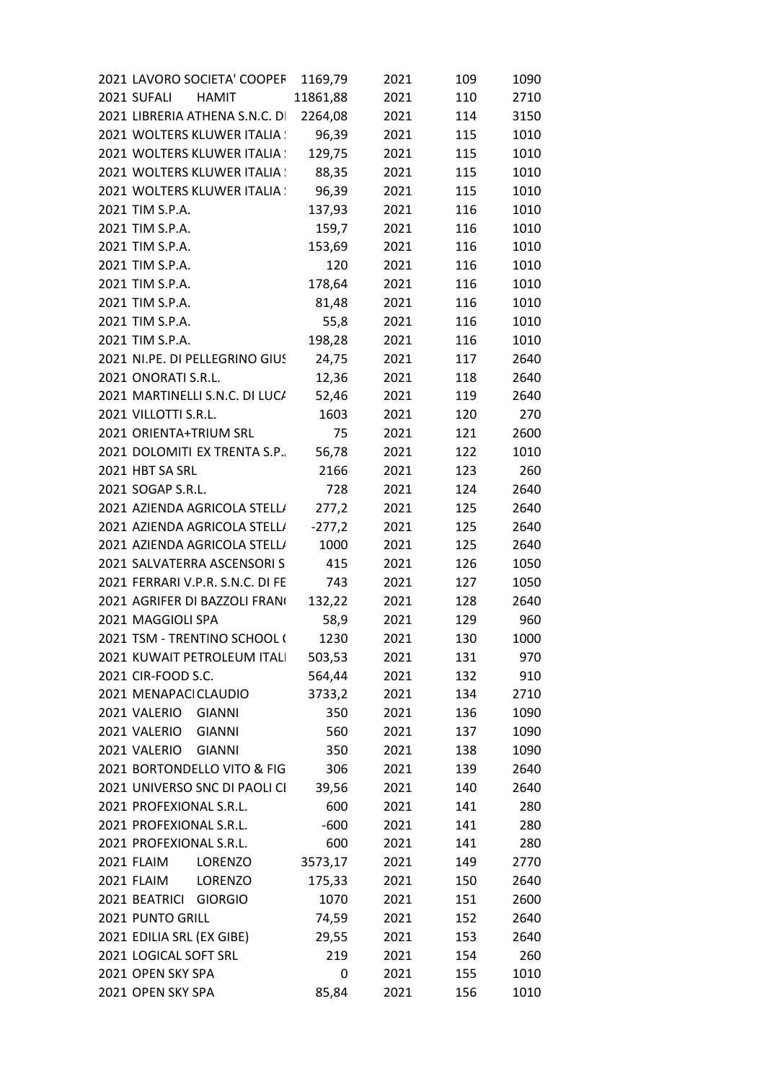| 2021 LAVORO SOCIETA' COOPER                    | 1169,79  | 2021         | 109        | 1090 |
|------------------------------------------------|----------|--------------|------------|------|
| 2021 SUFALI<br><b>HAMIT</b>                    | 11861,88 | 2021         | 110        | 2710 |
| 2021 LIBRERIA ATHENA S.N.C. DI                 | 2264,08  | 2021         | 114        | 3150 |
| 2021 WOLTERS KLUWER ITALIA :                   | 96,39    | 2021         | 115        | 1010 |
| 2021 WOLTERS KLUWER ITALIA !                   | 129,75   | 2021         | 115        | 1010 |
| 2021 WOLTERS KLUWER ITALIA :                   | 88,35    | 2021         | 115        | 1010 |
| 2021 WOLTERS KLUWER ITALIA !                   | 96,39    | 2021         | 115        | 1010 |
| 2021 TIM S.P.A.                                | 137,93   | 2021         | 116        | 1010 |
| 2021 TIM S.P.A.                                | 159,7    | 2021         | 116        | 1010 |
| 2021 TIM S.P.A.                                | 153,69   | 2021         | 116        | 1010 |
| 2021 TIM S.P.A.                                | 120      | 2021         | 116        | 1010 |
| 2021 TIM S.P.A.                                | 178,64   | 2021         | 116        | 1010 |
| 2021 TIM S.P.A.                                | 81,48    | 2021         | 116        | 1010 |
| 2021 TIM S.P.A.                                | 55,8     | 2021         | 116        | 1010 |
| 2021 TIM S.P.A.                                | 198,28   | 2021         | 116        | 1010 |
| 2021 NI.PE. DI PELLEGRINO GIUS                 | 24,75    | 2021         | 117        | 2640 |
| 2021 ONORATI S.R.L.                            | 12,36    | 2021         | 118        | 2640 |
| 2021 MARTINELLI S.N.C. DI LUC/                 | 52,46    | 2021         | 119        | 2640 |
| 2021 VILLOTTI S.R.L.                           | 1603     | 2021         | 120        | 270  |
| 2021 ORIENTA+TRIUM SRL                         | 75       | 2021         | 121        | 2600 |
| 2021 DOLOMITI EX TRENTA S.P                    | 56,78    | 2021         | 122        | 1010 |
| 2021 HBT SA SRL                                | 2166     | 2021         | 123        | 260  |
| 2021 SOGAP S.R.L.                              | 728      | 2021         | 124        | 2640 |
| 2021 AZIENDA AGRICOLA STELL/                   | 277,2    | 2021         | 125        | 2640 |
| 2021 AZIENDA AGRICOLA STELL/                   | $-277,2$ | 2021         | 125        | 2640 |
| 2021 AZIENDA AGRICOLA STELL/                   | 1000     | 2021         | 125        | 2640 |
| 2021 SALVATERRA ASCENSORI S                    | 415      | 2021         | 126        | 1050 |
| 2021 FERRARI V.P.R. S.N.C. DI FE               | 743      | 2021         | 127        | 1050 |
| 2021 AGRIFER DI BAZZOLI FRANO                  | 132,22   | 2021         | 128        | 2640 |
| 2021 MAGGIOLI SPA                              | 58,9     | 2021         | 129        | 960  |
| 2021 TSM - TRENTINO SCHOOL (                   | 1230     | 2021         | 130        | 1000 |
| 2021 KUWAIT PETROLEUM ITALI                    | 503,53   | 2021         | 131        | 970  |
| 2021 CIR-FOOD S.C.                             | 564,44   | 2021         | 132        | 910  |
| 2021 MENAPACICLAUDIO                           | 3733,2   | 2021         |            | 2710 |
| 2021 VALERIO<br><b>GIANNI</b>                  | 350      | 2021         | 134<br>136 | 1090 |
| 2021 VALERIO                                   | 560      |              |            | 1090 |
| <b>GIANNI</b><br>2021 VALERIO<br><b>GIANNI</b> | 350      | 2021<br>2021 | 137<br>138 | 1090 |
| 2021 BORTONDELLO VITO & FIG                    | 306      | 2021         |            |      |
| 2021 UNIVERSO SNC DI PAOLI CI                  |          |              | 139        | 2640 |
| 2021 PROFEXIONAL S.R.L.                        | 39,56    | 2021         | 140        | 2640 |
|                                                | 600      | 2021         | 141        | 280  |
| 2021 PROFEXIONAL S.R.L.                        | $-600$   | 2021         | 141        | 280  |
| 2021 PROFEXIONAL S.R.L.                        | 600      | 2021         | 141        | 280  |
| LORENZO<br>2021 FLAIM                          | 3573,17  | 2021         | 149        | 2770 |
| 2021 FLAIM<br><b>LORENZO</b>                   | 175,33   | 2021         | 150        | 2640 |
| 2021 BEATRICI<br><b>GIORGIO</b>                | 1070     | 2021         | 151        | 2600 |
| 2021 PUNTO GRILL                               | 74,59    | 2021         | 152        | 2640 |
| 2021 EDILIA SRL (EX GIBE)                      | 29,55    | 2021         | 153        | 2640 |
| 2021 LOGICAL SOFT SRL                          | 219      | 2021         | 154        | 260  |
| 2021 OPEN SKY SPA                              | 0        | 2021         | 155        | 1010 |
| 2021 OPEN SKY SPA                              | 85,84    | 2021         | 156        | 1010 |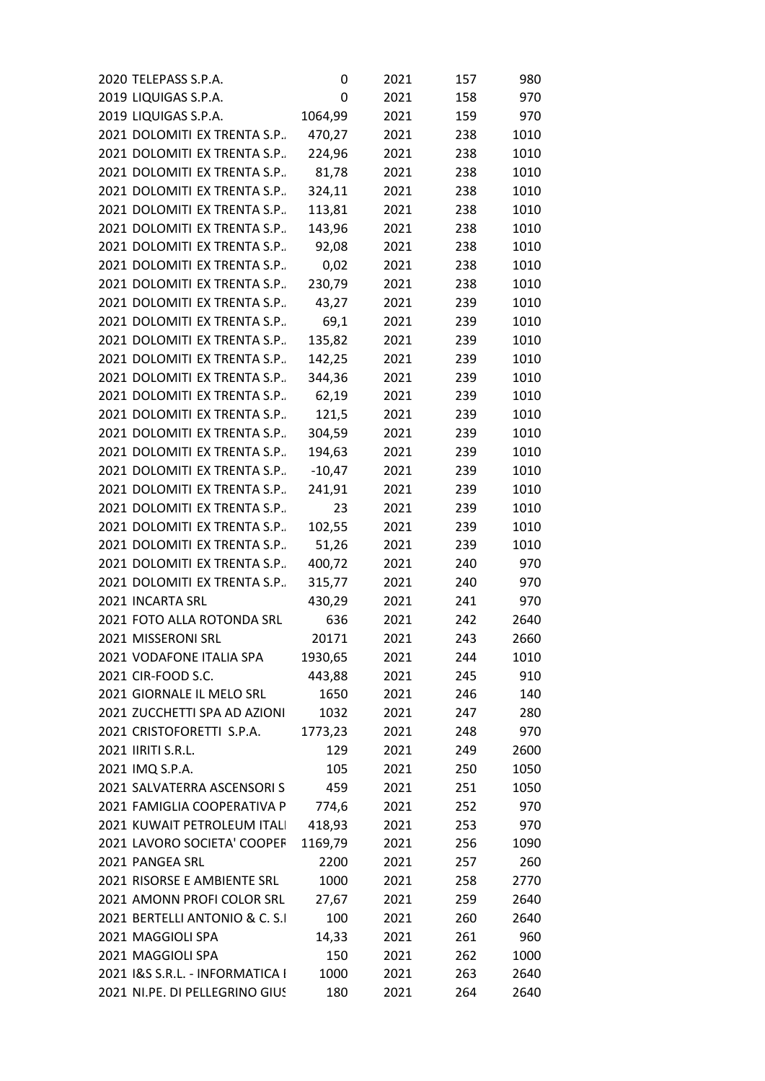| 2020 TELEPASS S.P.A.            | 0        | 2021         | 157        | 980  |
|---------------------------------|----------|--------------|------------|------|
| 2019 LIQUIGAS S.P.A.            | 0        | 2021         | 158        | 970  |
| 2019 LIQUIGAS S.P.A.            | 1064,99  | 2021         | 159        | 970  |
| 2021 DOLOMITI EX TRENTA S.P.,   | 470,27   | 2021         | 238        | 1010 |
| 2021 DOLOMITI EX TRENTA S.P.,   | 224,96   | 2021         | 238        | 1010 |
| 2021 DOLOMITI EX TRENTA S.P     | 81,78    | 2021         | 238        | 1010 |
| 2021 DOLOMITI EX TRENTA S.P     | 324,11   | 2021         | 238        | 1010 |
| 2021 DOLOMITI EX TRENTA S.P     | 113,81   | 2021         | 238        | 1010 |
| 2021 DOLOMITI EX TRENTA S.P.,   | 143,96   | 2021         | 238        | 1010 |
| 2021 DOLOMITI EX TRENTA S.P.,   | 92,08    | 2021         | 238        | 1010 |
| 2021 DOLOMITI EX TRENTA S.P     | 0,02     | 2021         | 238        | 1010 |
| 2021 DOLOMITI EX TRENTA S.P.,   | 230,79   | 2021         | 238        | 1010 |
| 2021 DOLOMITI EX TRENTA S.P     | 43,27    | 2021         | 239        | 1010 |
| 2021 DOLOMITI EX TRENTA S.P     | 69,1     | 2021         | 239        | 1010 |
| 2021 DOLOMITI EX TRENTA S.P     | 135,82   | 2021         | 239        | 1010 |
| 2021 DOLOMITI EX TRENTA S.P     | 142,25   | 2021         | 239        | 1010 |
| 2021 DOLOMITI EX TRENTA S.P.,   | 344,36   | 2021         | 239        | 1010 |
| 2021 DOLOMITI EX TRENTA S.P.,   | 62,19    | 2021         | 239        | 1010 |
| 2021 DOLOMITI EX TRENTA S.P     | 121,5    | 2021         | 239        | 1010 |
| 2021 DOLOMITI EX TRENTA S.P     | 304,59   | 2021         | 239        | 1010 |
| 2021 DOLOMITI EX TRENTA S.P     | 194,63   | 2021         | 239        | 1010 |
| 2021 DOLOMITI EX TRENTA S.P.,   | $-10,47$ | 2021         | 239        | 1010 |
| 2021 DOLOMITI EX TRENTA S.P     | 241,91   | 2021         | 239        | 1010 |
| 2021 DOLOMITI EX TRENTA S.P.,   | 23       | 2021         | 239        | 1010 |
| 2021 DOLOMITI EX TRENTA S.P     | 102,55   | 2021         | 239        | 1010 |
| 2021 DOLOMITI EX TRENTA S.P     | 51,26    | 2021         | 239        | 1010 |
| 2021 DOLOMITI EX TRENTA S.P     | 400,72   | 2021         | 240        | 970  |
| 2021 DOLOMITI EX TRENTA S.P     | 315,77   |              |            |      |
|                                 |          | 2021<br>2021 | 240        | 970  |
| 2021 INCARTA SRL                | 430,29   |              | 241<br>242 | 970  |
| 2021 FOTO ALLA ROTONDA SRL      | 636      | 2021         |            | 2640 |
| 2021 MISSERONI SRL              | 20171    | 2021         | 243        | 2660 |
| 2021 VODAFONE ITALIA SPA        | 1930,65  | 2021         | 244        | 1010 |
| 2021 CIR-FOOD S.C.              | 443,88   | 2021         | 245        | 910  |
| 2021 GIORNALE IL MELO SRL       | 1650     | 2021         | 246        | 140  |
| 2021 ZUCCHETTI SPA AD AZIONI    | 1032     | 2021         | 247        | 280  |
| 2021 CRISTOFORETTI S.P.A.       | 1773,23  | 2021         | 248        | 970  |
| 2021 IIRITI S.R.L.              | 129      | 2021         | 249        | 2600 |
| 2021 IMQ S.P.A.                 | 105      | 2021         | 250        | 1050 |
| 2021 SALVATERRA ASCENSORI S     | 459      | 2021         | 251        | 1050 |
| 2021 FAMIGLIA COOPERATIVA P     | 774,6    | 2021         | 252        | 970  |
| 2021 KUWAIT PETROLEUM ITALI     | 418,93   | 2021         | 253        | 970  |
| 2021 LAVORO SOCIETA' COOPER     | 1169,79  | 2021         | 256        | 1090 |
| 2021 PANGEA SRL                 | 2200     | 2021         | 257        | 260  |
| 2021 RISORSE E AMBIENTE SRL     | 1000     | 2021         | 258        | 2770 |
| 2021 AMONN PROFI COLOR SRL      | 27,67    | 2021         | 259        | 2640 |
| 2021 BERTELLI ANTONIO & C. S.I  | 100      | 2021         | 260        | 2640 |
| 2021 MAGGIOLI SPA               | 14,33    | 2021         | 261        | 960  |
| 2021 MAGGIOLI SPA               | 150      | 2021         | 262        | 1000 |
| 2021 I&S S.R.L. - INFORMATICA I | 1000     | 2021         | 263        | 2640 |
| 2021 NI.PE. DI PELLEGRINO GIUS  | 180      | 2021         | 264        | 2640 |